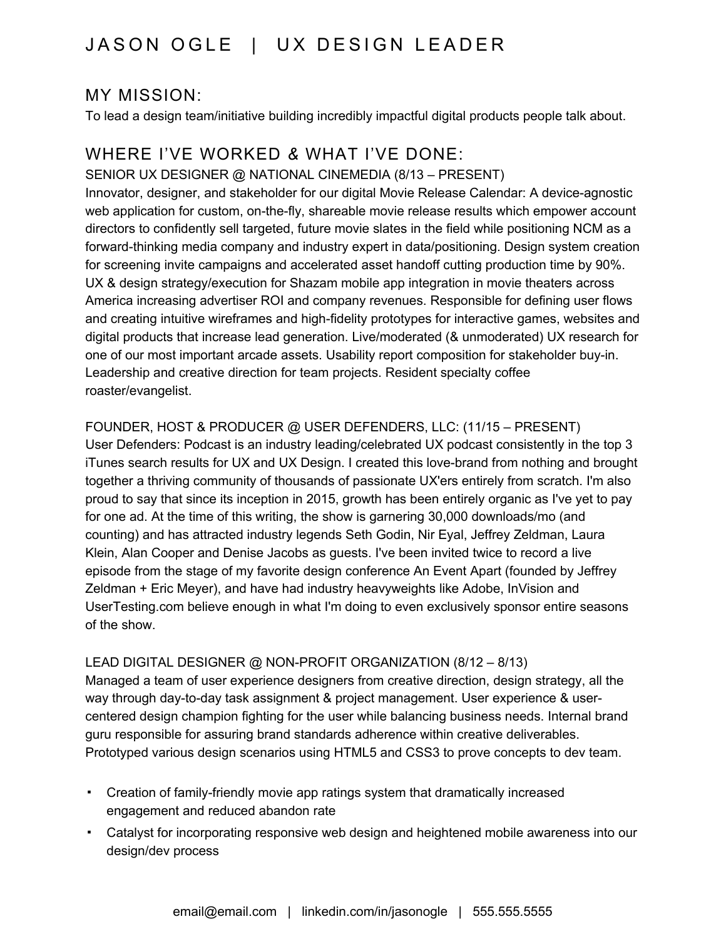## JASON OGLE | UX DESIGN LEADER

## MY MISSION:

To lead a design team/initiative building incredibly impactful digital products people talk about.

## WHERE I'VE WORKED *&* WHAT I'VE DONE:

SENIOR UX DESIGNER @ NATIONAL CINEMEDIA (8/13 – PRESENT) Innovator, designer, and stakeholder for our digital Movie Release Calendar: A device-agnostic

web application for custom, on-the-fly, shareable movie release results which empower account directors to confidently sell targeted, future movie slates in the field while positioning NCM as a forward-thinking media company and industry expert in data/positioning. Design system creation for screening invite campaigns and accelerated asset handoff cutting production time by 90%. UX & design strategy/execution for Shazam mobile app integration in movie theaters across America increasing advertiser ROI and company revenues. Responsible for defining user flows and creating intuitive wireframes and high-fidelity prototypes for interactive games, websites and digital products that increase lead generation. Live/moderated (& unmoderated) UX research for one of our most important arcade assets. Usability report composition for stakeholder buy-in. Leadership and creative direction for team projects. Resident specialty coffee roaster/evangelist.

FOUNDER, HOST & PRODUCER @ USER DEFENDERS, LLC: (11/15 – PRESENT) User Defenders: Podcast is an industry leading/celebrated UX podcast consistently in the top 3 iTunes search results for UX and UX Design. I created this love-brand from nothing and brought together a thriving community of thousands of passionate UX'ers entirely from scratch. I'm also proud to say that since its inception in 2015, growth has been entirely organic as I've yet to pay for one ad. At the time of this writing, the show is garnering 30,000 downloads/mo (and counting) and has attracted industry legends Seth Godin, Nir Eyal, Jeffrey Zeldman, Laura Klein, Alan Cooper and Denise Jacobs as guests. I've been invited twice to record a live episode from the stage of my favorite design conference An Event Apart (founded by Jeffrey Zeldman + Eric Meyer), and have had industry heavyweights like Adobe, InVision and

UserTesting.com believe enough in what I'm doing to even exclusively sponsor entire seasons of the show.

### LEAD DIGITAL DESIGNER @ NON-PROFIT ORGANIZATION (8/12 – 8/13)

Managed a team of user experience designers from creative direction, design strategy, all the way through day-to-day task assignment & project management. User experience & usercentered design champion fighting for the user while balancing business needs. Internal brand guru responsible for assuring brand standards adherence within creative deliverables. Prototyped various design scenarios using HTML5 and CSS3 to prove concepts to dev team.

- Creation of family-friendly movie app ratings system that dramatically increased engagement and reduced abandon rate
- Catalyst for incorporating responsive web design and heightened mobile awareness into our design/dev process